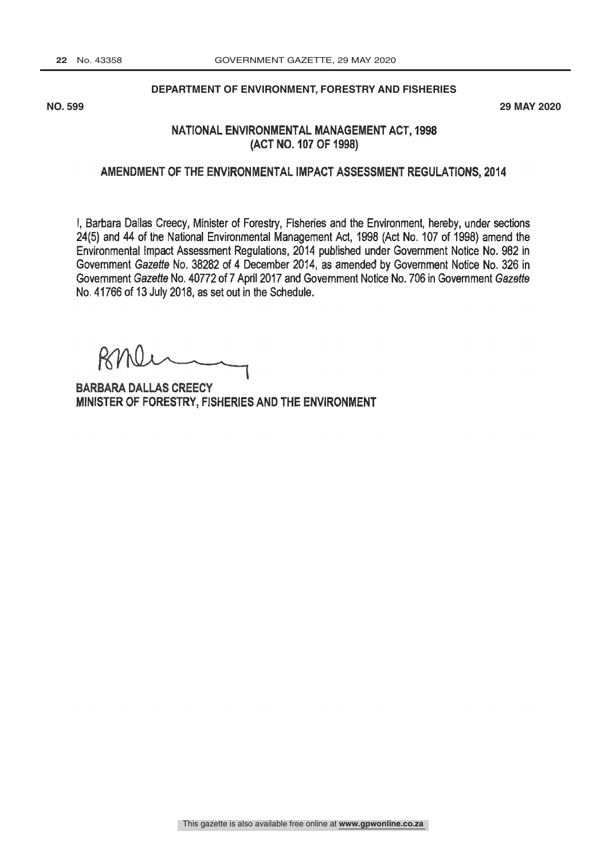#### **DEPARTMENT OF ENVIRONMENT, FORESTRY AND FISHERIES**

**NO. 599 29 MAY 2020**

# NATIONAL ENVIRONMENTAL MANAGEMENT ACT, 1998 (ACT NO. 107 OF 1998)

## AMENDMENT OF THE ENVIRONMENTAL IMPACT ASSESSMENT REGULATIONS, 2014

I, Barbara Dallas Creecy, Minister of Forestry, Fisheries and the Environment, hereby, under sections 24(5) and 44 of the National Environmental Management Act, 1998 (Act No. 107 of 1998) amend the Environmental Impact Assessment Regulations, 2014 published under Government Notice No. 982 in Government Gazette No. 38282 of 4 December 2014, as amended by Government Notice No. 326 in Government Gazette No. 40772 of 7 April 2017 and Government Notice No. 706 in Government Gazette No. 41766 of 13 July 2018, as set out in the Schedule.

BARBARA DALLAS CREECY<br>MINISTER OF FORESTRY, FISHERIES AND THE ENVIRONMENT